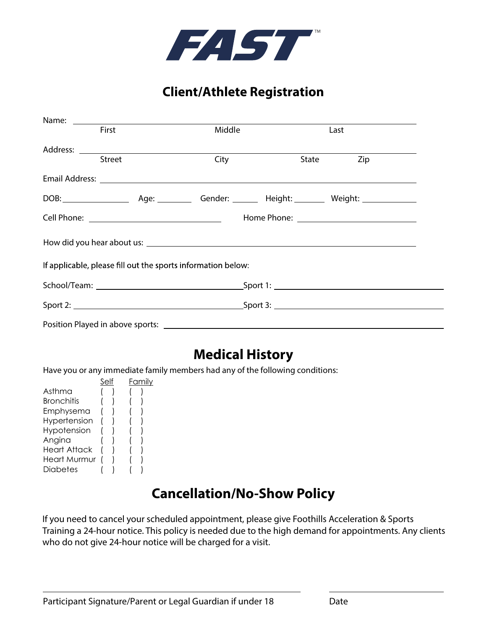

#### **Client/Athlete Registration**

| First         | Middle                                                       |  | Last         |  |  |
|---------------|--------------------------------------------------------------|--|--------------|--|--|
|               |                                                              |  |              |  |  |
| <b>Street</b> | City                                                         |  | Zip<br>State |  |  |
|               |                                                              |  |              |  |  |
|               |                                                              |  |              |  |  |
|               |                                                              |  |              |  |  |
|               |                                                              |  |              |  |  |
|               | If applicable, please fill out the sports information below: |  |              |  |  |
|               |                                                              |  |              |  |  |
|               |                                                              |  |              |  |  |
|               |                                                              |  |              |  |  |

### **Medical History**

Have you or any immediate family members had any of the following conditions:

|  |  |  | Familv |
|--|--|--|--------|

### **Cancellation/No-Show Policy**

If you need to cancel your scheduled appointment, please give Foothills Acceleration & Sports Training a 24-hour notice. This policy is needed due to the high demand for appointments. Any clients who do not give 24-hour notice will be charged for a visit.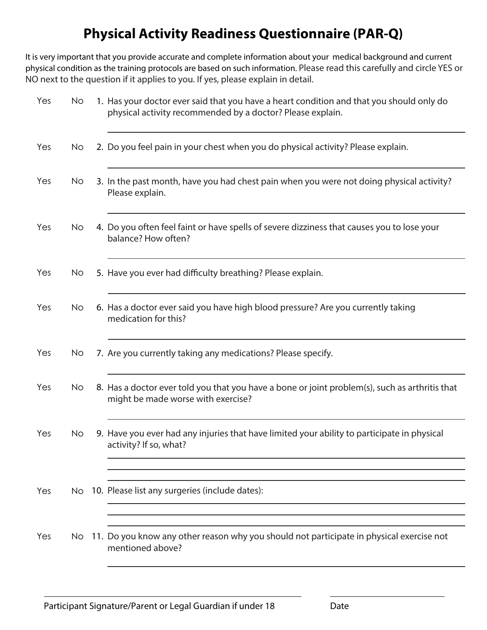## **Physical Activity Readiness Questionnaire (PAR-Q)**

It is very important that you provide accurate and complete information about your medical background and current physical condition as the training protocols are based on such information. Please read this carefully and circle YES or NO next to the question if it applies to you. If yes, please explain in detail.

| Yes | No.       | 1. Has your doctor ever said that you have a heart condition and that you should only do<br>physical activity recommended by a doctor? Please explain. |
|-----|-----------|--------------------------------------------------------------------------------------------------------------------------------------------------------|
| Yes | No.       | 2. Do you feel pain in your chest when you do physical activity? Please explain.                                                                       |
| Yes | No.       | 3. In the past month, have you had chest pain when you were not doing physical activity?<br>Please explain.                                            |
| Yes | No        | 4. Do you often feel faint or have spells of severe dizziness that causes you to lose your<br>balance? How often?                                      |
| Yes | No.       | 5. Have you ever had difficulty breathing? Please explain.                                                                                             |
| Yes | <b>No</b> | 6. Has a doctor ever said you have high blood pressure? Are you currently taking<br>medication for this?                                               |
| Yes | No.       | 7. Are you currently taking any medications? Please specify.                                                                                           |
| Yes | No        | 8. Has a doctor ever told you that you have a bone or joint problem(s), such as arthritis that<br>might be made worse with exercise?                   |
| Yes | No        | 9. Have you ever had any injuries that have limited your ability to participate in physical<br>activity? If so, what?                                  |
| Yes | No.       | 10. Please list any surgeries (include dates):                                                                                                         |
| Yes | No.       | 11. Do you know any other reason why you should not participate in physical exercise not<br>mentioned above?                                           |